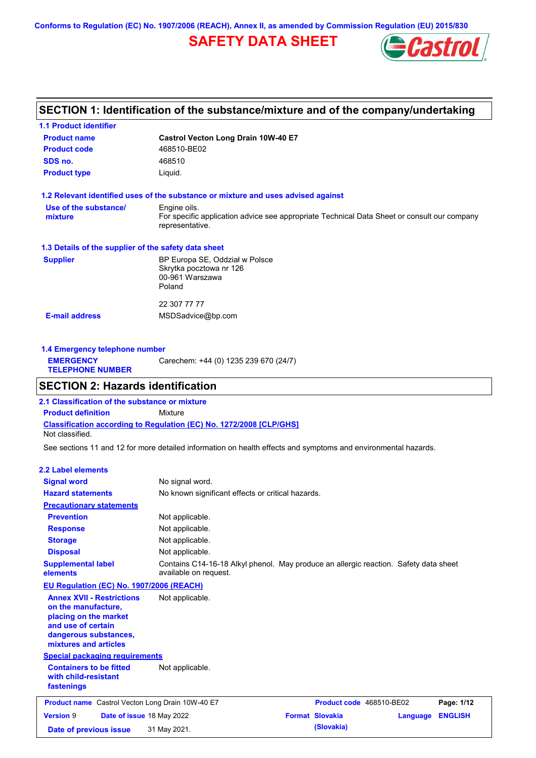**Conforms to Regulation (EC) No. 1907/2006 (REACH), Annex II, as amended by Commission Regulation (EU) 2015/830**

## **SAFETY DATA SHEET**



## **SECTION 1: Identification of the substance/mixture and of the company/undertaking**

| <b>Product name</b>                                  |                                                                                                                |  |  |
|------------------------------------------------------|----------------------------------------------------------------------------------------------------------------|--|--|
|                                                      | Castrol Vecton Long Drain 10W-40 E7                                                                            |  |  |
| <b>Product code</b>                                  | 468510-BE02                                                                                                    |  |  |
| SDS no.                                              | 468510                                                                                                         |  |  |
| <b>Product type</b>                                  | Liquid.                                                                                                        |  |  |
|                                                      | 1.2 Relevant identified uses of the substance or mixture and uses advised against                              |  |  |
| Use of the substance/                                | Engine oils.                                                                                                   |  |  |
| mixture                                              | For specific application advice see appropriate Technical Data Sheet or consult our company<br>representative. |  |  |
| 1.3 Details of the supplier of the safety data sheet |                                                                                                                |  |  |
| <b>Supplier</b>                                      | BP Europa SE, Oddział w Polsce                                                                                 |  |  |
|                                                      | Skrytka pocztowa nr 126                                                                                        |  |  |
|                                                      | 00-961 Warszawa                                                                                                |  |  |
|                                                      | Poland                                                                                                         |  |  |
|                                                      | 22 307 77 77                                                                                                   |  |  |
|                                                      |                                                                                                                |  |  |

| 1.4 Emergency telephone number              |                                       |  |  |  |
|---------------------------------------------|---------------------------------------|--|--|--|
| <b>EMERGENCY</b><br><b>TELEPHONE NUMBER</b> | Carechem: +44 (0) 1235 239 670 (24/7) |  |  |  |

### **SECTION 2: Hazards identification**

**Classification according to Regulation (EC) No. 1272/2008 [CLP/GHS] 2.1 Classification of the substance or mixture Product definition** Mixture Not classified.

See sections 11 and 12 for more detailed information on health effects and symptoms and environmental hazards.

#### **2.2 Label elements**

| <b>Signal word</b><br><b>Hazard statements</b>                                                                                                           | No signal word.<br>No known significant effects or critical hazards.                                          |                          |          |                |
|----------------------------------------------------------------------------------------------------------------------------------------------------------|---------------------------------------------------------------------------------------------------------------|--------------------------|----------|----------------|
| <b>Precautionary statements</b>                                                                                                                          |                                                                                                               |                          |          |                |
| <b>Prevention</b>                                                                                                                                        | Not applicable.                                                                                               |                          |          |                |
| <b>Response</b>                                                                                                                                          | Not applicable.                                                                                               |                          |          |                |
| <b>Storage</b>                                                                                                                                           | Not applicable.                                                                                               |                          |          |                |
| <b>Disposal</b>                                                                                                                                          | Not applicable.                                                                                               |                          |          |                |
| <b>Supplemental label</b><br>elements                                                                                                                    | Contains C14-16-18 Alkyl phenol. May produce an allergic reaction. Safety data sheet<br>available on request. |                          |          |                |
| EU Regulation (EC) No. 1907/2006 (REACH)                                                                                                                 |                                                                                                               |                          |          |                |
| <b>Annex XVII - Restrictions</b><br>on the manufacture,<br>placing on the market<br>and use of certain<br>dangerous substances,<br>mixtures and articles | Not applicable.                                                                                               |                          |          |                |
| <b>Special packaging requirements</b>                                                                                                                    |                                                                                                               |                          |          |                |
| <b>Containers to be fitted</b><br>with child-resistant<br>fastenings                                                                                     | Not applicable.                                                                                               |                          |          |                |
| <b>Product name</b> Castrol Vecton Long Drain 10W-40 E7                                                                                                  |                                                                                                               | Product code 468510-BE02 |          | Page: 1/12     |
| <b>Version 9</b><br>Date of issue 18 May 2022                                                                                                            |                                                                                                               | <b>Format Slovakia</b>   | Language | <b>ENGLISH</b> |
| Date of previous issue                                                                                                                                   | 31 May 2021.                                                                                                  | (Slovakia)               |          |                |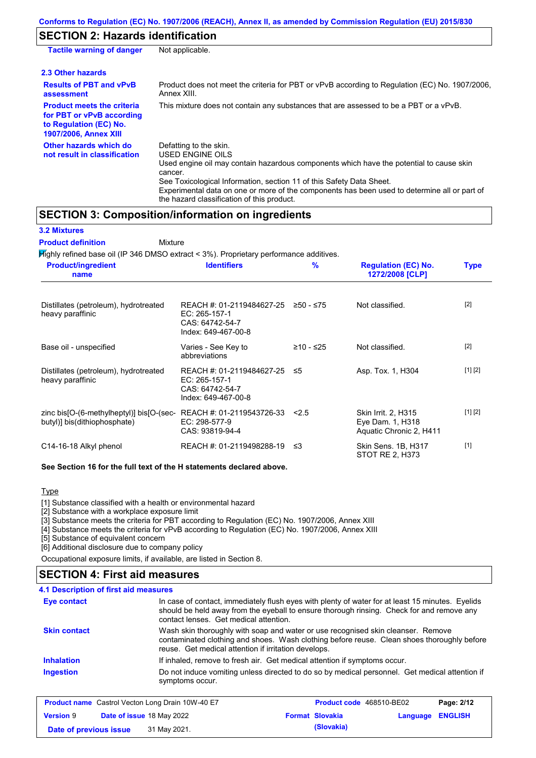### **SECTION 2: Hazards identification**

| <b>Tactile warning of danger</b>                                                                                         | Not applicable.                                                                                                                                                                                                                                                                                                                                                        |
|--------------------------------------------------------------------------------------------------------------------------|------------------------------------------------------------------------------------------------------------------------------------------------------------------------------------------------------------------------------------------------------------------------------------------------------------------------------------------------------------------------|
| 2.3 Other hazards                                                                                                        |                                                                                                                                                                                                                                                                                                                                                                        |
| <b>Results of PBT and vPvB</b><br>assessment                                                                             | Product does not meet the criteria for PBT or vPvB according to Regulation (EC) No. 1907/2006,<br>Annex XIII.                                                                                                                                                                                                                                                          |
| <b>Product meets the criteria</b><br>for PBT or vPvB according<br>to Regulation (EC) No.<br><b>1907/2006, Annex XIII</b> | This mixture does not contain any substances that are assessed to be a PBT or a vPvB.                                                                                                                                                                                                                                                                                  |
| Other hazards which do<br>not result in classification                                                                   | Defatting to the skin.<br>USED ENGINE OILS<br>Used engine oil may contain hazardous components which have the potential to cause skin<br>cancer.<br>See Toxicological Information, section 11 of this Safety Data Sheet.<br>Experimental data on one or more of the components has been used to determine all or part of<br>the hazard classification of this product. |

### **SECTION 3: Composition/information on ingredients**

Mixture

**3.2 Mixtures**

**Product definition**

Highly refined base oil (IP 346 DMSO extract < 3%). Proprietary performance additives.

| <b>Product/ingredient</b><br>name                                        | <b>Identifiers</b>                                                                      | $\%$      | <b>Regulation (EC) No.</b><br>1272/2008 [CLP]                      | <b>Type</b> |
|--------------------------------------------------------------------------|-----------------------------------------------------------------------------------------|-----------|--------------------------------------------------------------------|-------------|
| Distillates (petroleum), hydrotreated<br>heavy paraffinic                | REACH #: 01-2119484627-25<br>EC: 265-157-1<br>CAS: 64742-54-7<br>Index: 649-467-00-8    | ≥50 - ≤75 | Not classified.                                                    | $[2]$       |
| Base oil - unspecified                                                   | Varies - See Key to<br>abbreviations                                                    | ≥10 - ≤25 | Not classified.                                                    | $[2]$       |
| Distillates (petroleum), hydrotreated<br>heavy paraffinic                | REACH #: 01-2119484627-25 ≤5<br>EC: 265-157-1<br>CAS: 64742-54-7<br>Index: 649-467-00-8 |           | Asp. Tox. 1, H304                                                  | [1] [2]     |
| zinc bis[O-(6-methylheptyl)] bis[O-(sec-<br>butyl)] bis(dithiophosphate) | REACH #: 01-2119543726-33<br>EC: 298-577-9<br>CAS: 93819-94-4                           | 2.5       | Skin Irrit. 2, H315<br>Eye Dam. 1, H318<br>Aquatic Chronic 2, H411 | [1] [2]     |
| C14-16-18 Alkyl phenol                                                   | REACH #: 01-2119498288-19 ≤3                                                            |           | Skin Sens. 1B, H317<br>STOT RE 2, H373                             | $[1]$       |

#### **See Section 16 for the full text of the H statements declared above.**

#### Type

[1] Substance classified with a health or environmental hazard

[2] Substance with a workplace exposure limit

[3] Substance meets the criteria for PBT according to Regulation (EC) No. 1907/2006, Annex XIII

[4] Substance meets the criteria for vPvB according to Regulation (EC) No. 1907/2006, Annex XIII

[5] Substance of equivalent concern

[6] Additional disclosure due to company policy

Occupational exposure limits, if available, are listed in Section 8.

## **SECTION 4: First aid measures**

#### **4.1 Description of first aid measures**

| Eye contact                                             | In case of contact, immediately flush eyes with plenty of water for at least 15 minutes. Eyelids<br>should be held away from the eyeball to ensure thorough rinsing. Check for and remove any<br>contact lenses. Get medical attention. |                                 |            |
|---------------------------------------------------------|-----------------------------------------------------------------------------------------------------------------------------------------------------------------------------------------------------------------------------------------|---------------------------------|------------|
| <b>Skin contact</b>                                     | Wash skin thoroughly with soap and water or use recognised skin cleanser. Remove<br>contaminated clothing and shoes. Wash clothing before reuse. Clean shoes thoroughly before<br>reuse. Get medical attention if irritation develops.  |                                 |            |
| <b>Inhalation</b>                                       | If inhaled, remove to fresh air. Get medical attention if symptoms occur.                                                                                                                                                               |                                 |            |
| <b>Ingestion</b>                                        | Do not induce vomiting unless directed to do so by medical personnel. Get medical attention if<br>symptoms occur.                                                                                                                       |                                 |            |
| <b>Product name</b> Castrol Vecton Long Drain 10W-40 E7 |                                                                                                                                                                                                                                         | <b>Product code</b> 468510-BE02 | Page: 2/12 |

| <b>Product name</b> Castrol Vecton Long Drain 10W-40 E7 |  |                                  | <b>Product code</b> 468510-BE02 | Page: 2/12             |                  |  |
|---------------------------------------------------------|--|----------------------------------|---------------------------------|------------------------|------------------|--|
| <b>Version 9</b>                                        |  | <b>Date of issue 18 May 2022</b> |                                 | <b>Format Slovakia</b> | Language ENGLISH |  |
| Date of previous issue                                  |  | 31 May 2021.                     |                                 | (Slovakia)             |                  |  |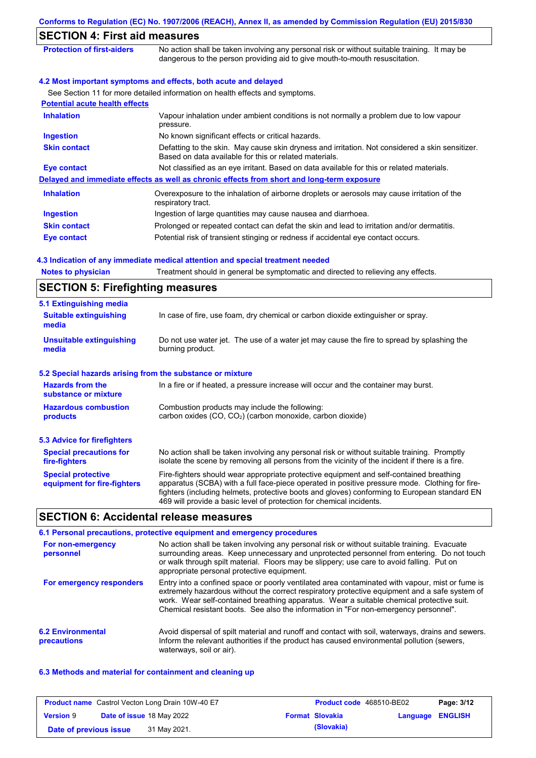| <b>SECTION 4: First aid measures</b>    |                                                                                                                                                                             |
|-----------------------------------------|-----------------------------------------------------------------------------------------------------------------------------------------------------------------------------|
| <b>Protection of first-aiders</b>       | No action shall be taken involving any personal risk or without suitable training. It may be<br>dangerous to the person providing aid to give mouth-to-mouth resuscitation. |
|                                         | 4.2 Most important symptoms and effects, both acute and delayed                                                                                                             |
|                                         | See Section 11 for more detailed information on health effects and symptoms.                                                                                                |
| <b>Potential acute health effects</b>   |                                                                                                                                                                             |
| <b>Inhalation</b>                       | Vapour inhalation under ambient conditions is not normally a problem due to low vapour<br>pressure.                                                                         |
| <b>Ingestion</b>                        | No known significant effects or critical hazards.                                                                                                                           |
| <b>Skin contact</b>                     | Defatting to the skin. May cause skin dryness and irritation. Not considered a skin sensitizer.<br>Based on data available for this or related materials.                   |
| <b>Eye contact</b>                      | Not classified as an eye irritant. Based on data available for this or related materials.                                                                                   |
|                                         | Delayed and immediate effects as well as chronic effects from short and long-term exposure                                                                                  |
| <b>Inhalation</b>                       | Overexposure to the inhalation of airborne droplets or aerosols may cause irritation of the<br>respiratory tract.                                                           |
| <b>Ingestion</b>                        | Ingestion of large quantities may cause nausea and diarrhoea.                                                                                                               |
| <b>Skin contact</b>                     | Prolonged or repeated contact can defat the skin and lead to irritation and/or dermatitis.                                                                                  |
| Eye contact                             | Potential risk of transient stinging or redness if accidental eye contact occurs.                                                                                           |
|                                         | 4.3 Indication of any immediate medical attention and special treatment needed                                                                                              |
| <b>Notes to physician</b>               | Treatment should in general be symptomatic and directed to relieving any effects.                                                                                           |
| <b>SECTION 5: Firefighting measures</b> |                                                                                                                                                                             |
| 5.1 Extinguishing media                 |                                                                                                                                                                             |

| <b>J.I EXUILQUISHING INCUID</b>                                                                                                                                     |                                                                                                                                                                                                                                                                                                                                                                   |  |  |  |
|---------------------------------------------------------------------------------------------------------------------------------------------------------------------|-------------------------------------------------------------------------------------------------------------------------------------------------------------------------------------------------------------------------------------------------------------------------------------------------------------------------------------------------------------------|--|--|--|
| In case of fire, use foam, dry chemical or carbon dioxide extinguisher or spray.<br><b>Suitable extinguishing</b><br>media                                          |                                                                                                                                                                                                                                                                                                                                                                   |  |  |  |
| <b>Unsuitable extinguishing</b><br>Do not use water jet. The use of a water jet may cause the fire to spread by splashing the<br>burning product.<br>media          |                                                                                                                                                                                                                                                                                                                                                                   |  |  |  |
| 5.2 Special hazards arising from the substance or mixture                                                                                                           |                                                                                                                                                                                                                                                                                                                                                                   |  |  |  |
| <b>Hazards from the</b><br>substance or mixture                                                                                                                     | In a fire or if heated, a pressure increase will occur and the container may burst.                                                                                                                                                                                                                                                                               |  |  |  |
| Combustion products may include the following:<br><b>Hazardous combustion</b><br>carbon oxides (CO, CO <sub>2</sub> ) (carbon monoxide, carbon dioxide)<br>products |                                                                                                                                                                                                                                                                                                                                                                   |  |  |  |
| 5.3 Advice for firefighters                                                                                                                                         |                                                                                                                                                                                                                                                                                                                                                                   |  |  |  |
| <b>Special precautions for</b><br>fire-fighters                                                                                                                     | No action shall be taken involving any personal risk or without suitable training. Promptly<br>isolate the scene by removing all persons from the vicinity of the incident if there is a fire.                                                                                                                                                                    |  |  |  |
| <b>Special protective</b><br>equipment for fire-fighters                                                                                                            | Fire-fighters should wear appropriate protective equipment and self-contained breathing<br>apparatus (SCBA) with a full face-piece operated in positive pressure mode. Clothing for fire-<br>fighters (including helmets, protective boots and gloves) conforming to European standard EN<br>469 will provide a basic level of protection for chemical incidents. |  |  |  |

## **SECTION 6: Accidental release measures**

|                                         | 6.1 Personal precautions, protective equipment and emergency procedures                                                                                                                                                                                                                                                                                                              |
|-----------------------------------------|--------------------------------------------------------------------------------------------------------------------------------------------------------------------------------------------------------------------------------------------------------------------------------------------------------------------------------------------------------------------------------------|
| For non-emergency<br>personnel          | No action shall be taken involving any personal risk or without suitable training. Evacuate<br>surrounding areas. Keep unnecessary and unprotected personnel from entering. Do not touch<br>or walk through spilt material. Floors may be slippery; use care to avoid falling. Put on<br>appropriate personal protective equipment.                                                  |
| For emergency responders                | Entry into a confined space or poorly ventilated area contaminated with vapour, mist or fume is<br>extremely hazardous without the correct respiratory protective equipment and a safe system of<br>work. Wear self-contained breathing apparatus. Wear a suitable chemical protective suit.<br>Chemical resistant boots. See also the information in "For non-emergency personnel". |
| <b>6.2 Environmental</b><br>precautions | Avoid dispersal of spilt material and runoff and contact with soil, waterways, drains and sewers.<br>Inform the relevant authorities if the product has caused environmental pollution (sewers,<br>waterways, soil or air).                                                                                                                                                          |

### **6.3 Methods and material for containment and cleaning up**

| <b>Product name</b> Castrol Vecton Long Drain 10W-40 E7 |  | <b>Product code</b> 468510-BE02  |                        | Page: 3/12       |  |
|---------------------------------------------------------|--|----------------------------------|------------------------|------------------|--|
| <b>Version 9</b>                                        |  | <b>Date of issue 18 May 2022</b> | <b>Format Slovakia</b> | Language ENGLISH |  |
| Date of previous issue                                  |  | 31 May 2021.                     | (Slovakia)             |                  |  |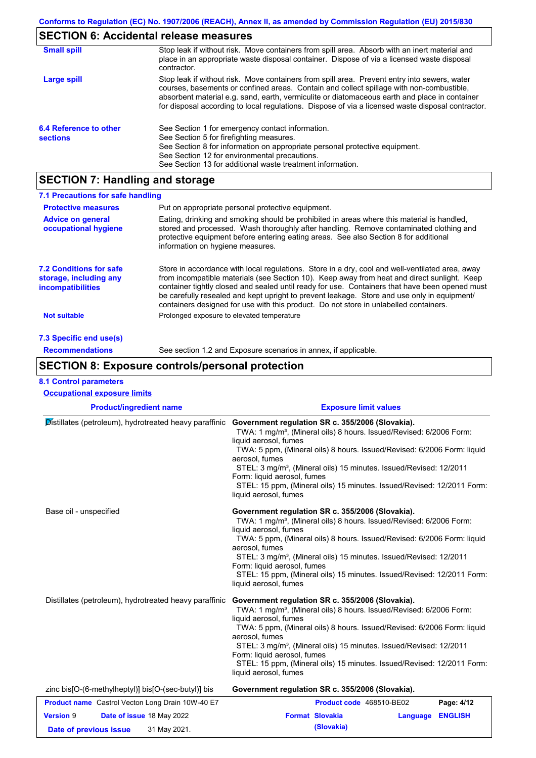# **SECTION 6: Accidental release measures**

| <b>Small spill</b>                        | Stop leak if without risk. Move containers from spill area. Absorb with an inert material and<br>place in an appropriate waste disposal container. Dispose of via a licensed waste disposal<br>contractor.                                                                                                                                                                                     |
|-------------------------------------------|------------------------------------------------------------------------------------------------------------------------------------------------------------------------------------------------------------------------------------------------------------------------------------------------------------------------------------------------------------------------------------------------|
| Large spill                               | Stop leak if without risk. Move containers from spill area. Prevent entry into sewers, water<br>courses, basements or confined areas. Contain and collect spillage with non-combustible,<br>absorbent material e.g. sand, earth, vermiculite or diatomaceous earth and place in container<br>for disposal according to local regulations. Dispose of via a licensed waste disposal contractor. |
| 6.4 Reference to other<br><b>sections</b> | See Section 1 for emergency contact information.<br>See Section 5 for firefighting measures.<br>See Section 8 for information on appropriate personal protective equipment.<br>See Section 12 for environmental precautions.<br>See Section 13 for additional waste treatment information.                                                                                                     |

# **SECTION 7: Handling and storage**

| 7.1 Precautions for safe handling                                             |                                                                                                                                                                                                                                                                                                                                                                                                                                                                                          |
|-------------------------------------------------------------------------------|------------------------------------------------------------------------------------------------------------------------------------------------------------------------------------------------------------------------------------------------------------------------------------------------------------------------------------------------------------------------------------------------------------------------------------------------------------------------------------------|
| <b>Protective measures</b>                                                    | Put on appropriate personal protective equipment.                                                                                                                                                                                                                                                                                                                                                                                                                                        |
| <b>Advice on general</b><br>occupational hygiene                              | Eating, drinking and smoking should be prohibited in areas where this material is handled,<br>stored and processed. Wash thoroughly after handling. Remove contaminated clothing and<br>protective equipment before entering eating areas. See also Section 8 for additional<br>information on hygiene measures.                                                                                                                                                                         |
| <b>7.2 Conditions for safe</b><br>storage, including any<br>incompatibilities | Store in accordance with local requlations. Store in a dry, cool and well-ventilated area, away<br>from incompatible materials (see Section 10). Keep away from heat and direct sunlight. Keep<br>container tightly closed and sealed until ready for use. Containers that have been opened must<br>be carefully resealed and kept upright to prevent leakage. Store and use only in equipment/<br>containers designed for use with this product. Do not store in unlabelled containers. |
| <b>Not suitable</b>                                                           | Prolonged exposure to elevated temperature                                                                                                                                                                                                                                                                                                                                                                                                                                               |
| 7.3 Specific end use(s)                                                       |                                                                                                                                                                                                                                                                                                                                                                                                                                                                                          |
| <b>Recommendations</b>                                                        | See section 1.2 and Exposure scenarios in annex, if applicable.                                                                                                                                                                                                                                                                                                                                                                                                                          |

### **SECTION 8: Exposure controls/personal protection**

#### **8.1 Control parameters**

| <b>Occupational exposure limits</b>                                                     |                                                                                                                                                                                                                                                                                                                                                                                                                                                                               |
|-----------------------------------------------------------------------------------------|-------------------------------------------------------------------------------------------------------------------------------------------------------------------------------------------------------------------------------------------------------------------------------------------------------------------------------------------------------------------------------------------------------------------------------------------------------------------------------|
| <b>Product/ingredient name</b>                                                          | <b>Exposure limit values</b>                                                                                                                                                                                                                                                                                                                                                                                                                                                  |
| Distillates (petroleum), hydrotreated heavy paraffinic                                  | Government regulation SR c. 355/2006 (Slovakia).<br>TWA: 1 mg/m <sup>3</sup> , (Mineral oils) 8 hours. Issued/Revised: 6/2006 Form:<br>liquid aerosol, fumes<br>TWA: 5 ppm, (Mineral oils) 8 hours. Issued/Revised: 6/2006 Form: liquid<br>aerosol, fumes<br>STEL: 3 mg/m <sup>3</sup> , (Mineral oils) 15 minutes. Issued/Revised: 12/2011<br>Form: liquid aerosol, fumes<br>STEL: 15 ppm, (Mineral oils) 15 minutes. Issued/Revised: 12/2011 Form:<br>liquid aerosol, fumes |
| Base oil - unspecified                                                                  | Government regulation SR c. 355/2006 (Slovakia).<br>TWA: 1 mg/m <sup>3</sup> , (Mineral oils) 8 hours. Issued/Revised: 6/2006 Form:<br>liquid aerosol, fumes<br>TWA: 5 ppm, (Mineral oils) 8 hours. Issued/Revised: 6/2006 Form: liquid<br>aerosol, fumes<br>STEL: 3 mg/m <sup>3</sup> , (Mineral oils) 15 minutes. Issued/Revised: 12/2011<br>Form: liquid aerosol, fumes<br>STEL: 15 ppm, (Mineral oils) 15 minutes. Issued/Revised: 12/2011 Form:<br>liquid aerosol, fumes |
| Distillates (petroleum), hydrotreated heavy paraffinic                                  | Government regulation SR c. 355/2006 (Slovakia).<br>TWA: 1 mg/m <sup>3</sup> , (Mineral oils) 8 hours. Issued/Revised: 6/2006 Form:<br>liquid aerosol, fumes<br>TWA: 5 ppm, (Mineral oils) 8 hours. Issued/Revised: 6/2006 Form: liquid<br>aerosol, fumes<br>STEL: 3 mg/m <sup>3</sup> , (Mineral oils) 15 minutes. Issued/Revised: 12/2011<br>Form: liquid aerosol, fumes<br>STEL: 15 ppm, (Mineral oils) 15 minutes. Issued/Revised: 12/2011 Form:<br>liquid aerosol, fumes |
| zinc bis[O-(6-methylheptyl)] bis[O-(sec-butyl)] bis                                     | Government regulation SR c. 355/2006 (Slovakia).                                                                                                                                                                                                                                                                                                                                                                                                                              |
| <b>Product name</b> Castrol Vecton Long Drain 10W-40 E7                                 | Product code 468510-BE02<br>Page: 4/12                                                                                                                                                                                                                                                                                                                                                                                                                                        |
| <b>Version 9</b><br>Date of issue 18 May 2022<br>31 May 2021.<br>Date of previous issue | <b>Format Slovakia</b><br><b>ENGLISH</b><br>Language<br>(Slovakia)                                                                                                                                                                                                                                                                                                                                                                                                            |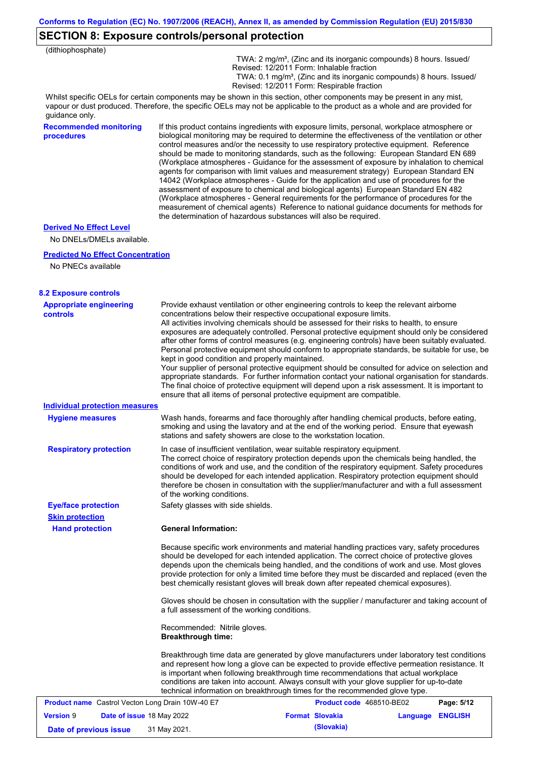## **SECTION 8: Exposure controls/personal protection**

| (dithiophosphate)                                           |                                                           |                                                                                                                                                                                                                                                                                                                                                                                                                                                                                                                                                                                                                                                                                                                                                                                                                                                                                                                                                                                                                            |          |                |
|-------------------------------------------------------------|-----------------------------------------------------------|----------------------------------------------------------------------------------------------------------------------------------------------------------------------------------------------------------------------------------------------------------------------------------------------------------------------------------------------------------------------------------------------------------------------------------------------------------------------------------------------------------------------------------------------------------------------------------------------------------------------------------------------------------------------------------------------------------------------------------------------------------------------------------------------------------------------------------------------------------------------------------------------------------------------------------------------------------------------------------------------------------------------------|----------|----------------|
|                                                             |                                                           | TWA: 2 mg/m <sup>3</sup> , (Zinc and its inorganic compounds) 8 hours. Issued/<br>Revised: 12/2011 Form: Inhalable fraction<br>TWA: 0.1 mg/m <sup>3</sup> , (Zinc and its inorganic compounds) 8 hours. Issued/<br>Revised: 12/2011 Form: Respirable fraction                                                                                                                                                                                                                                                                                                                                                                                                                                                                                                                                                                                                                                                                                                                                                              |          |                |
| guidance only.                                              |                                                           | Whilst specific OELs for certain components may be shown in this section, other components may be present in any mist,<br>vapour or dust produced. Therefore, the specific OELs may not be applicable to the product as a whole and are provided for                                                                                                                                                                                                                                                                                                                                                                                                                                                                                                                                                                                                                                                                                                                                                                       |          |                |
| <b>Recommended monitoring</b><br>procedures                 |                                                           | If this product contains ingredients with exposure limits, personal, workplace atmosphere or<br>biological monitoring may be required to determine the effectiveness of the ventilation or other<br>control measures and/or the necessity to use respiratory protective equipment. Reference<br>should be made to monitoring standards, such as the following: European Standard EN 689<br>(Workplace atmospheres - Guidance for the assessment of exposure by inhalation to chemical<br>agents for comparison with limit values and measurement strategy) European Standard EN<br>14042 (Workplace atmospheres - Guide for the application and use of procedures for the<br>assessment of exposure to chemical and biological agents) European Standard EN 482<br>(Workplace atmospheres - General requirements for the performance of procedures for the<br>measurement of chemical agents) Reference to national guidance documents for methods for<br>the determination of hazardous substances will also be required. |          |                |
| <b>Derived No Effect Level</b><br>No DNELs/DMELs available. |                                                           |                                                                                                                                                                                                                                                                                                                                                                                                                                                                                                                                                                                                                                                                                                                                                                                                                                                                                                                                                                                                                            |          |                |
| <b>Predicted No Effect Concentration</b>                    |                                                           |                                                                                                                                                                                                                                                                                                                                                                                                                                                                                                                                                                                                                                                                                                                                                                                                                                                                                                                                                                                                                            |          |                |
| No PNECs available                                          |                                                           |                                                                                                                                                                                                                                                                                                                                                                                                                                                                                                                                                                                                                                                                                                                                                                                                                                                                                                                                                                                                                            |          |                |
| <b>8.2 Exposure controls</b>                                |                                                           |                                                                                                                                                                                                                                                                                                                                                                                                                                                                                                                                                                                                                                                                                                                                                                                                                                                                                                                                                                                                                            |          |                |
| <b>Appropriate engineering</b><br>controls                  | kept in good condition and properly maintained.           | Provide exhaust ventilation or other engineering controls to keep the relevant airborne<br>concentrations below their respective occupational exposure limits.<br>All activities involving chemicals should be assessed for their risks to health, to ensure<br>exposures are adequately controlled. Personal protective equipment should only be considered<br>after other forms of control measures (e.g. engineering controls) have been suitably evaluated.<br>Personal protective equipment should conform to appropriate standards, be suitable for use, be<br>Your supplier of personal protective equipment should be consulted for advice on selection and<br>appropriate standards. For further information contact your national organisation for standards.<br>The final choice of protective equipment will depend upon a risk assessment. It is important to<br>ensure that all items of personal protective equipment are compatible.                                                                       |          |                |
| <b>Individual protection measures</b>                       |                                                           |                                                                                                                                                                                                                                                                                                                                                                                                                                                                                                                                                                                                                                                                                                                                                                                                                                                                                                                                                                                                                            |          |                |
| <b>Hygiene measures</b>                                     |                                                           | Wash hands, forearms and face thoroughly after handling chemical products, before eating,<br>smoking and using the lavatory and at the end of the working period. Ensure that eyewash<br>stations and safety showers are close to the workstation location.                                                                                                                                                                                                                                                                                                                                                                                                                                                                                                                                                                                                                                                                                                                                                                |          |                |
| <b>Respiratory protection</b>                               | of the working conditions.                                | In case of insufficient ventilation, wear suitable respiratory equipment.<br>The correct choice of respiratory protection depends upon the chemicals being handled, the<br>conditions of work and use, and the condition of the respiratory equipment. Safety procedures<br>should be developed for each intended application. Respiratory protection equipment should<br>therefore be chosen in consultation with the supplier/manufacturer and with a full assessment                                                                                                                                                                                                                                                                                                                                                                                                                                                                                                                                                    |          |                |
| <b>Eye/face protection</b>                                  | Safety glasses with side shields.                         |                                                                                                                                                                                                                                                                                                                                                                                                                                                                                                                                                                                                                                                                                                                                                                                                                                                                                                                                                                                                                            |          |                |
| <b>Skin protection</b><br><b>Hand protection</b>            | <b>General Information:</b>                               |                                                                                                                                                                                                                                                                                                                                                                                                                                                                                                                                                                                                                                                                                                                                                                                                                                                                                                                                                                                                                            |          |                |
|                                                             |                                                           | Because specific work environments and material handling practices vary, safety procedures<br>should be developed for each intended application. The correct choice of protective gloves<br>depends upon the chemicals being handled, and the conditions of work and use. Most gloves<br>provide protection for only a limited time before they must be discarded and replaced (even the<br>best chemically resistant gloves will break down after repeated chemical exposures).                                                                                                                                                                                                                                                                                                                                                                                                                                                                                                                                           |          |                |
|                                                             | a full assessment of the working conditions.              | Gloves should be chosen in consultation with the supplier / manufacturer and taking account of                                                                                                                                                                                                                                                                                                                                                                                                                                                                                                                                                                                                                                                                                                                                                                                                                                                                                                                             |          |                |
|                                                             | Recommended: Nitrile gloves.<br><b>Breakthrough time:</b> |                                                                                                                                                                                                                                                                                                                                                                                                                                                                                                                                                                                                                                                                                                                                                                                                                                                                                                                                                                                                                            |          |                |
|                                                             |                                                           | Breakthrough time data are generated by glove manufacturers under laboratory test conditions<br>and represent how long a glove can be expected to provide effective permeation resistance. It<br>is important when following breakthrough time recommendations that actual workplace<br>conditions are taken into account. Always consult with your glove supplier for up-to-date<br>technical information on breakthrough times for the recommended glove type.                                                                                                                                                                                                                                                                                                                                                                                                                                                                                                                                                           |          |                |
| <b>Product name</b> Castrol Vecton Long Drain 10W-40 E7     |                                                           | Product code 468510-BE02                                                                                                                                                                                                                                                                                                                                                                                                                                                                                                                                                                                                                                                                                                                                                                                                                                                                                                                                                                                                   |          | Page: 5/12     |
| <b>Version 9</b><br>Date of issue 18 May 2022               |                                                           | <b>Format Slovakia</b>                                                                                                                                                                                                                                                                                                                                                                                                                                                                                                                                                                                                                                                                                                                                                                                                                                                                                                                                                                                                     | Language | <b>ENGLISH</b> |

**Date of previous issue** 31 May 2021. **(Slovakia) (Slovakia)**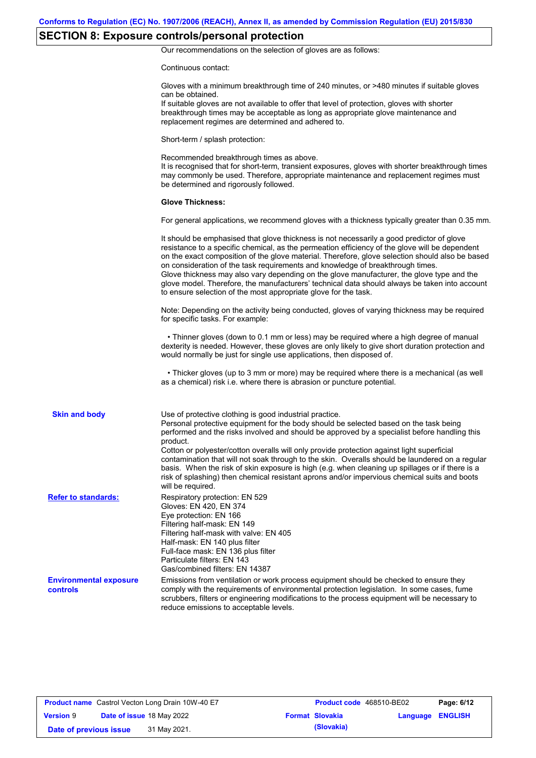# **SECTION 8: Exposure controls/personal protection**

Our recommendations on the selection of gloves are as follows:

Continuous contact:

|                                           | Gloves with a minimum breakthrough time of 240 minutes, or >480 minutes if suitable gloves<br>can be obtained.<br>If suitable gloves are not available to offer that level of protection, gloves with shorter<br>breakthrough times may be acceptable as long as appropriate glove maintenance and<br>replacement regimes are determined and adhered to.                                                                                                                                                                                                                                                                                                                              |
|-------------------------------------------|---------------------------------------------------------------------------------------------------------------------------------------------------------------------------------------------------------------------------------------------------------------------------------------------------------------------------------------------------------------------------------------------------------------------------------------------------------------------------------------------------------------------------------------------------------------------------------------------------------------------------------------------------------------------------------------|
|                                           | Short-term / splash protection:                                                                                                                                                                                                                                                                                                                                                                                                                                                                                                                                                                                                                                                       |
|                                           | Recommended breakthrough times as above.<br>It is recognised that for short-term, transient exposures, gloves with shorter breakthrough times<br>may commonly be used. Therefore, appropriate maintenance and replacement regimes must<br>be determined and rigorously followed.                                                                                                                                                                                                                                                                                                                                                                                                      |
|                                           | <b>Glove Thickness:</b>                                                                                                                                                                                                                                                                                                                                                                                                                                                                                                                                                                                                                                                               |
|                                           | For general applications, we recommend gloves with a thickness typically greater than 0.35 mm.                                                                                                                                                                                                                                                                                                                                                                                                                                                                                                                                                                                        |
|                                           | It should be emphasised that glove thickness is not necessarily a good predictor of glove<br>resistance to a specific chemical, as the permeation efficiency of the glove will be dependent<br>on the exact composition of the glove material. Therefore, glove selection should also be based<br>on consideration of the task requirements and knowledge of breakthrough times.<br>Glove thickness may also vary depending on the glove manufacturer, the glove type and the<br>glove model. Therefore, the manufacturers' technical data should always be taken into account<br>to ensure selection of the most appropriate glove for the task.                                     |
|                                           | Note: Depending on the activity being conducted, gloves of varying thickness may be required<br>for specific tasks. For example:                                                                                                                                                                                                                                                                                                                                                                                                                                                                                                                                                      |
|                                           | • Thinner gloves (down to 0.1 mm or less) may be required where a high degree of manual<br>dexterity is needed. However, these gloves are only likely to give short duration protection and<br>would normally be just for single use applications, then disposed of.                                                                                                                                                                                                                                                                                                                                                                                                                  |
|                                           | • Thicker gloves (up to 3 mm or more) may be required where there is a mechanical (as well<br>as a chemical) risk i.e. where there is abrasion or puncture potential.                                                                                                                                                                                                                                                                                                                                                                                                                                                                                                                 |
| <b>Skin and body</b>                      | Use of protective clothing is good industrial practice.<br>Personal protective equipment for the body should be selected based on the task being<br>performed and the risks involved and should be approved by a specialist before handling this<br>product.<br>Cotton or polyester/cotton overalls will only provide protection against light superficial<br>contamination that will not soak through to the skin. Overalls should be laundered on a regular<br>basis. When the risk of skin exposure is high (e.g. when cleaning up spillages or if there is a<br>risk of splashing) then chemical resistant aprons and/or impervious chemical suits and boots<br>will be required. |
| <b>Refer to standards:</b>                | Respiratory protection: EN 529<br>Gloves: EN 420, EN 374<br>Eye protection: EN 166<br>Filtering half-mask: EN 149<br>Filtering half-mask with valve: EN 405<br>Half-mask: EN 140 plus filter<br>Full-face mask: EN 136 plus filter<br>Particulate filters: EN 143<br>Gas/combined filters: EN 14387                                                                                                                                                                                                                                                                                                                                                                                   |
| <b>Environmental exposure</b><br>controls | Emissions from ventilation or work process equipment should be checked to ensure they<br>comply with the requirements of environmental protection legislation. In some cases, fume<br>scrubbers, filters or engineering modifications to the process equipment will be necessary to<br>reduce emissions to acceptable levels.                                                                                                                                                                                                                                                                                                                                                         |

| <b>Product name</b> Castrol Vecton Long Drain 10W-40 E7 |  |                                  | Product code 468510-BE02 |                        | Page: 6/12              |  |
|---------------------------------------------------------|--|----------------------------------|--------------------------|------------------------|-------------------------|--|
| <b>Version 9</b>                                        |  | <b>Date of issue 18 May 2022</b> |                          | <b>Format Slovakia</b> | <b>Language ENGLISH</b> |  |
| Date of previous issue                                  |  | 31 May 2021.                     |                          | (Slovakia)             |                         |  |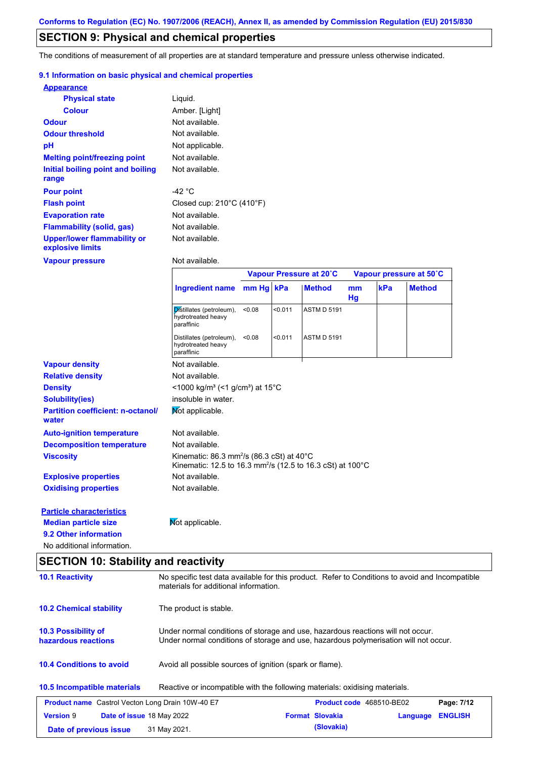### **SECTION 9: Physical and chemical properties**

The conditions of measurement of all properties are at standard temperature and pressure unless otherwise indicated.

#### **9.1 Information on basic physical and chemical properties**

| <b>Appearance</b>                                      |                                                |
|--------------------------------------------------------|------------------------------------------------|
| <b>Physical state</b>                                  | Liquid.                                        |
| <b>Colour</b>                                          | Amber. [Light]                                 |
| <b>Odour</b>                                           | Not available.                                 |
| <b>Odour threshold</b>                                 | Not available.                                 |
| рH                                                     | Not applicable.                                |
| <b>Melting point/freezing point</b>                    | Not available.                                 |
| Initial boiling point and boiling                      | Not available.                                 |
| range                                                  |                                                |
| <b>Pour point</b>                                      | -42 °C                                         |
| <b>Flash point</b>                                     | Closed cup: $210^{\circ}$ C (410 $^{\circ}$ F) |
| <b>Evaporation rate</b>                                | Not available.                                 |
| Flammability (solid, gas)                              | Not available.                                 |
| <b>Upper/lower flammability or</b><br>explosive limits | Not available.                                 |
| <b>Vapour pressure</b>                                 | Not available.                                 |

|                                                   |                                                                                                                                           | Vapour Pressure at 20°C |         |                    | Vapour pressure at 50°C |     |               |
|---------------------------------------------------|-------------------------------------------------------------------------------------------------------------------------------------------|-------------------------|---------|--------------------|-------------------------|-----|---------------|
|                                                   | <b>Ingredient name</b>                                                                                                                    | mm Hg kPa               |         | <b>Method</b>      | mm<br>Hg                | kPa | <b>Method</b> |
|                                                   | Distillates (petroleum),<br>hydrotreated heavy<br>paraffinic                                                                              | < 0.08                  | < 0.011 | <b>ASTM D 5191</b> |                         |     |               |
|                                                   | Distillates (petroleum),<br>hydrotreated heavy<br>paraffinic                                                                              | < 0.08                  | < 0.011 | <b>ASTM D 5191</b> |                         |     |               |
| <b>Vapour density</b>                             | Not available.                                                                                                                            |                         |         |                    |                         |     |               |
| <b>Relative density</b>                           | Not available.                                                                                                                            |                         |         |                    |                         |     |               |
| <b>Density</b>                                    | <1000 kg/m <sup>3</sup> (<1 g/cm <sup>3</sup> ) at 15 <sup>°</sup> C                                                                      |                         |         |                    |                         |     |               |
| <b>Solubility(ies)</b>                            | insoluble in water.                                                                                                                       |                         |         |                    |                         |     |               |
| <b>Partition coefficient: n-octanol/</b><br>water | Mot applicable.                                                                                                                           |                         |         |                    |                         |     |               |
| <b>Auto-ignition temperature</b>                  | Not available.                                                                                                                            |                         |         |                    |                         |     |               |
| <b>Decomposition temperature</b>                  | Not available.                                                                                                                            |                         |         |                    |                         |     |               |
| <b>Viscosity</b>                                  | Kinematic: 86.3 mm <sup>2</sup> /s (86.3 cSt) at $40^{\circ}$ C<br>Kinematic: 12.5 to 16.3 mm <sup>2</sup> /s (12.5 to 16.3 cSt) at 100°C |                         |         |                    |                         |     |               |
| <b>Explosive properties</b>                       | Not available.                                                                                                                            |                         |         |                    |                         |     |               |
| <b>Oxidising properties</b>                       | Not available.                                                                                                                            |                         |         |                    |                         |     |               |
| <b>Particle characteristics</b>                   |                                                                                                                                           |                         |         |                    |                         |     |               |
| <b>Median particle size</b>                       | Mot applicable.                                                                                                                           |                         |         |                    |                         |     |               |
| 9.2 Other information                             |                                                                                                                                           |                         |         |                    |                         |     |               |

No additional information.

## **SECTION 10: Stability and reactivity**

| <b>10.1 Reactivity</b>                                  | No specific test data available for this product. Refer to Conditions to avoid and Incompatible<br>materials for additional information.                                |                                               |  |  |  |
|---------------------------------------------------------|-------------------------------------------------------------------------------------------------------------------------------------------------------------------------|-----------------------------------------------|--|--|--|
| <b>10.2 Chemical stability</b>                          | The product is stable.                                                                                                                                                  |                                               |  |  |  |
| <b>10.3 Possibility of</b><br>hazardous reactions       | Under normal conditions of storage and use, hazardous reactions will not occur.<br>Under normal conditions of storage and use, hazardous polymerisation will not occur. |                                               |  |  |  |
| <b>10.4 Conditions to avoid</b>                         | Avoid all possible sources of ignition (spark or flame).                                                                                                                |                                               |  |  |  |
| 10.5 Incompatible materials                             | Reactive or incompatible with the following materials: oxidising materials.                                                                                             |                                               |  |  |  |
| <b>Product name</b> Castrol Vecton Long Drain 10W-40 E7 |                                                                                                                                                                         | <b>Product code</b> 468510-BE02<br>Page: 7/12 |  |  |  |
| <b>Version 9</b><br>Date of issue 18 May 2022           | <b>Format Slovakia</b>                                                                                                                                                  | <b>ENGLISH</b><br>Language                    |  |  |  |
| Date of previous issue                                  | 31 May 2021.                                                                                                                                                            | (Slovakia)                                    |  |  |  |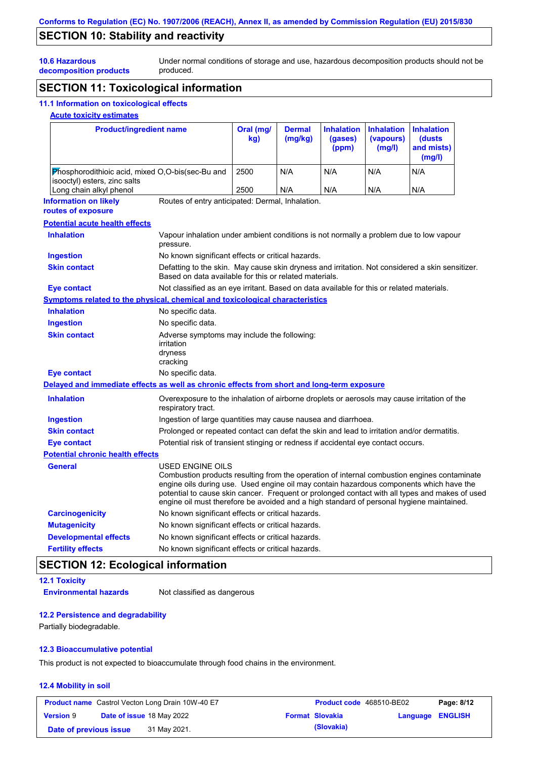## **SECTION 10: Stability and reactivity**

Under normal conditions of storage and use, hazardous decomposition products should not be produced.

**decomposition products**

# **SECTION 11: Toxicological information**

### **11.1 Information on toxicological effects**

### **Acute toxicity estimates**

**10.6 Hazardous** 

| <b>Product/ingredient name</b>                                                             |                                                                                                                                                                                                         | Oral (mg/<br>kg) | <b>Dermal</b><br>(mg/kg) | <b>Inhalation</b><br>(gases)<br>(ppm) | <b>Inhalation</b><br>(vapours)<br>(mg/l) | <b>Inhalation</b><br>(dusts)<br>and mists)<br>(mg/l)                                                                                                                                          |
|--------------------------------------------------------------------------------------------|---------------------------------------------------------------------------------------------------------------------------------------------------------------------------------------------------------|------------------|--------------------------|---------------------------------------|------------------------------------------|-----------------------------------------------------------------------------------------------------------------------------------------------------------------------------------------------|
| Phosphorodithioic acid, mixed O,O-bis(sec-Bu and<br>isooctyl) esters, zinc salts           |                                                                                                                                                                                                         | 2500             | N/A                      | N/A                                   | N/A                                      | N/A                                                                                                                                                                                           |
| Long chain alkyl phenol                                                                    |                                                                                                                                                                                                         | 2500             | N/A                      | N/A                                   | N/A                                      | N/A                                                                                                                                                                                           |
| <b>Information on likely</b><br>routes of exposure                                         | Routes of entry anticipated: Dermal, Inhalation.                                                                                                                                                        |                  |                          |                                       |                                          |                                                                                                                                                                                               |
| <b>Potential acute health effects</b>                                                      |                                                                                                                                                                                                         |                  |                          |                                       |                                          |                                                                                                                                                                                               |
| <b>Inhalation</b>                                                                          | Vapour inhalation under ambient conditions is not normally a problem due to low vapour<br>pressure.                                                                                                     |                  |                          |                                       |                                          |                                                                                                                                                                                               |
| <b>Ingestion</b>                                                                           | No known significant effects or critical hazards.                                                                                                                                                       |                  |                          |                                       |                                          |                                                                                                                                                                                               |
| <b>Skin contact</b>                                                                        | Defatting to the skin. May cause skin dryness and irritation. Not considered a skin sensitizer.<br>Based on data available for this or related materials.                                               |                  |                          |                                       |                                          |                                                                                                                                                                                               |
| Eye contact                                                                                | Not classified as an eye irritant. Based on data available for this or related materials.                                                                                                               |                  |                          |                                       |                                          |                                                                                                                                                                                               |
| Symptoms related to the physical, chemical and toxicological characteristics               |                                                                                                                                                                                                         |                  |                          |                                       |                                          |                                                                                                                                                                                               |
| <b>Inhalation</b>                                                                          | No specific data.                                                                                                                                                                                       |                  |                          |                                       |                                          |                                                                                                                                                                                               |
| <b>Ingestion</b>                                                                           | No specific data.                                                                                                                                                                                       |                  |                          |                                       |                                          |                                                                                                                                                                                               |
| <b>Skin contact</b>                                                                        | Adverse symptoms may include the following:<br>irritation<br>dryness<br>cracking                                                                                                                        |                  |                          |                                       |                                          |                                                                                                                                                                                               |
| <b>Eye contact</b>                                                                         | No specific data.                                                                                                                                                                                       |                  |                          |                                       |                                          |                                                                                                                                                                                               |
| Delayed and immediate effects as well as chronic effects from short and long-term exposure |                                                                                                                                                                                                         |                  |                          |                                       |                                          |                                                                                                                                                                                               |
| <b>Inhalation</b>                                                                          | Overexposure to the inhalation of airborne droplets or aerosols may cause irritation of the<br>respiratory tract.                                                                                       |                  |                          |                                       |                                          |                                                                                                                                                                                               |
| Ingestion                                                                                  | Ingestion of large quantities may cause nausea and diarrhoea.                                                                                                                                           |                  |                          |                                       |                                          |                                                                                                                                                                                               |
| <b>Skin contact</b>                                                                        | Prolonged or repeated contact can defat the skin and lead to irritation and/or dermatitis.                                                                                                              |                  |                          |                                       |                                          |                                                                                                                                                                                               |
| Eye contact                                                                                | Potential risk of transient stinging or redness if accidental eye contact occurs.                                                                                                                       |                  |                          |                                       |                                          |                                                                                                                                                                                               |
| <b>Potential chronic health effects</b>                                                    |                                                                                                                                                                                                         |                  |                          |                                       |                                          |                                                                                                                                                                                               |
| <b>General</b>                                                                             | USED ENGINE OILS<br>engine oils during use. Used engine oil may contain hazardous components which have the<br>engine oil must therefore be avoided and a high standard of personal hygiene maintained. |                  |                          |                                       |                                          | Combustion products resulting from the operation of internal combustion engines contaminate<br>potential to cause skin cancer. Frequent or prolonged contact with all types and makes of used |
| <b>Carcinogenicity</b>                                                                     | No known significant effects or critical hazards.                                                                                                                                                       |                  |                          |                                       |                                          |                                                                                                                                                                                               |
| <b>Mutagenicity</b>                                                                        | No known significant effects or critical hazards.                                                                                                                                                       |                  |                          |                                       |                                          |                                                                                                                                                                                               |
| <b>Developmental effects</b>                                                               | No known significant effects or critical hazards.                                                                                                                                                       |                  |                          |                                       |                                          |                                                                                                                                                                                               |
| <b>Fertility effects</b>                                                                   | No known significant effects or critical hazards.                                                                                                                                                       |                  |                          |                                       |                                          |                                                                                                                                                                                               |

## **SECTION 12: Ecological information**

```
12.1 Toxicity
Environmental hazards Not classified as dangerous
```
#### **12.2 Persistence and degradability**

Partially biodegradable.

#### **12.3 Bioaccumulative potential**

This product is not expected to bioaccumulate through food chains in the environment.

#### **12.4 Mobility in soil**

|                        | <b>Product name</b> Castrol Vecton Long Drain 10W-40 E7 | <b>Product code</b> 468510-BE02 |                         | Page: 8/12 |
|------------------------|---------------------------------------------------------|---------------------------------|-------------------------|------------|
| <b>Version 9</b>       | <b>Date of issue 18 May 2022</b>                        | <b>Format Slovakia</b>          | <b>Language ENGLISH</b> |            |
| Date of previous issue | 31 May 2021.                                            | (Slovakia)                      |                         |            |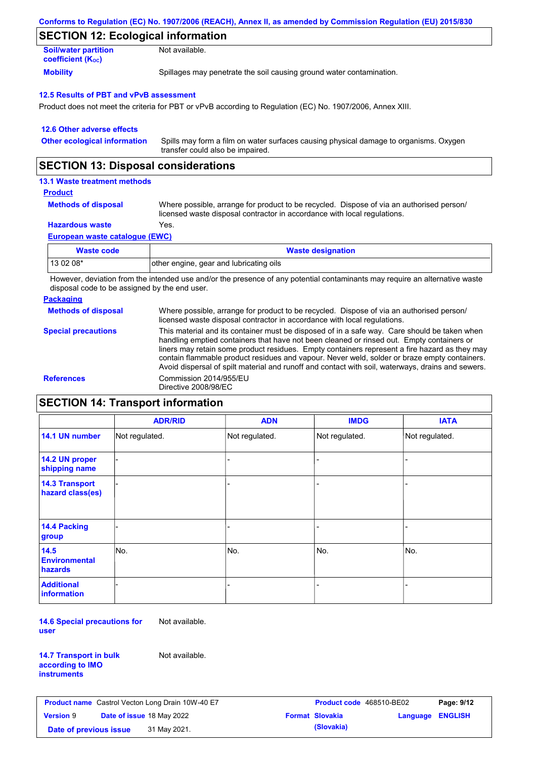| Conforms to Regulation (EC) No. 1907/2006 (REACH), Annex II, as amended by Commission Regulation (EU) 2015/830 |  |
|----------------------------------------------------------------------------------------------------------------|--|
|----------------------------------------------------------------------------------------------------------------|--|

## **SECTION 12: Ecological information**

| <b>Soil/water partition</b>           | Not available.                                                       |
|---------------------------------------|----------------------------------------------------------------------|
| <b>coefficient</b> (K <sub>oc</sub> ) |                                                                      |
| <b>Mobility</b>                       | Spillages may penetrate the soil causing ground water contamination. |

#### **12.5 Results of PBT and vPvB assessment**

Product does not meet the criteria for PBT or vPvB according to Regulation (EC) No. 1907/2006, Annex XIII.

| 12.6 Other adverse effects          |                                                                                                                           |
|-------------------------------------|---------------------------------------------------------------------------------------------------------------------------|
| <b>Other ecological information</b> | Spills may form a film on water surfaces causing physical damage to organisms. Oxygen<br>transfer could also be impaired. |

### **SECTION 13: Disposal considerations**

#### **13.1 Waste treatment methods**

#### **Product**

| <b>Methods of disposal</b> | W |
|----------------------------|---|
|                            |   |

Where possible, arrange for product to be recycled. Dispose of via an authorised person/ licensed waste disposal contractor in accordance with local regulations.

#### **Hazardous waste** Yes.

**European waste catalogue (EWC)**

| <b>Waste code</b> | <b>Waste designation</b>                |
|-------------------|-----------------------------------------|
| 13 02 08*         | other engine, gear and lubricating oils |

However, deviation from the intended use and/or the presence of any potential contaminants may require an alternative waste disposal code to be assigned by the end user.

| <b>Packaging</b>           |                                                                                                                                                                                                                                                                                                                                                                                                                                                                                                 |
|----------------------------|-------------------------------------------------------------------------------------------------------------------------------------------------------------------------------------------------------------------------------------------------------------------------------------------------------------------------------------------------------------------------------------------------------------------------------------------------------------------------------------------------|
| <b>Methods of disposal</b> | Where possible, arrange for product to be recycled. Dispose of via an authorised person/<br>licensed waste disposal contractor in accordance with local regulations.                                                                                                                                                                                                                                                                                                                            |
| <b>Special precautions</b> | This material and its container must be disposed of in a safe way. Care should be taken when<br>handling emptied containers that have not been cleaned or rinsed out. Empty containers or<br>liners may retain some product residues. Empty containers represent a fire hazard as they may<br>contain flammable product residues and vapour. Never weld, solder or braze empty containers.<br>Avoid dispersal of spilt material and runoff and contact with soil, waterways, drains and sewers. |
| <b>References</b>          | Commission 2014/955/EU<br>Directive 2008/98/EC                                                                                                                                                                                                                                                                                                                                                                                                                                                  |

### **SECTION 14: Transport information**

|                                           | <b>ADR/RID</b> | <b>ADN</b>     | <b>IMDG</b>    | <b>IATA</b>    |  |  |  |
|-------------------------------------------|----------------|----------------|----------------|----------------|--|--|--|
| 14.1 UN number                            | Not regulated. | Not regulated. | Not regulated. | Not regulated. |  |  |  |
| 14.2 UN proper<br>shipping name           |                |                |                |                |  |  |  |
| <b>14.3 Transport</b><br>hazard class(es) |                |                |                |                |  |  |  |
| 14.4 Packing<br>group                     |                |                |                |                |  |  |  |
| 14.5<br><b>Environmental</b><br>hazards   | No.            | No.            | No.            | No.            |  |  |  |
| <b>Additional</b><br>information          |                |                |                |                |  |  |  |

**14.6 Special precautions for user** Not available.

**14.7 Transport in bulk according to IMO instruments**

Not available.

**Product name** Castrol Vecton Long Drain 10W-40 E7 **Product Code** 468510-BE02 **Page: 9/12 Version** 9 **Date of issue** 18 May 2022 **Format Slovakia Language ENGLISH Date of previous issue (Slovakia)** 31 May 2021.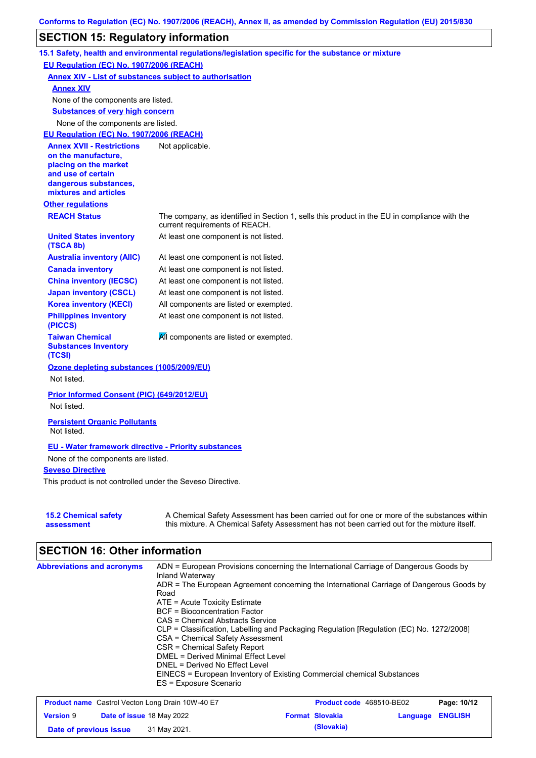## **SECTION 15: Regulatory information**

|                                                                 | 15.1 Safety, health and environmental regulations/legislation specific for the substance or mixture                                                                                       |
|-----------------------------------------------------------------|-------------------------------------------------------------------------------------------------------------------------------------------------------------------------------------------|
| EU Regulation (EC) No. 1907/2006 (REACH)                        |                                                                                                                                                                                           |
| <b>Annex XIV - List of substances subject to authorisation</b>  |                                                                                                                                                                                           |
| <b>Annex XIV</b>                                                |                                                                                                                                                                                           |
| None of the components are listed.                              |                                                                                                                                                                                           |
| <b>Substances of very high concern</b>                          |                                                                                                                                                                                           |
| None of the components are listed.                              |                                                                                                                                                                                           |
| EU Regulation (EC) No. 1907/2006 (REACH)                        |                                                                                                                                                                                           |
| <b>Annex XVII - Restrictions</b>                                | Not applicable.                                                                                                                                                                           |
| on the manufacture,<br>placing on the market                    |                                                                                                                                                                                           |
| and use of certain                                              |                                                                                                                                                                                           |
| dangerous substances,                                           |                                                                                                                                                                                           |
| mixtures and articles                                           |                                                                                                                                                                                           |
| <b>Other regulations</b>                                        |                                                                                                                                                                                           |
| <b>REACH Status</b>                                             | The company, as identified in Section 1, sells this product in the EU in compliance with the<br>current requirements of REACH.                                                            |
| <b>United States inventory</b><br>(TSCA 8b)                     | At least one component is not listed.                                                                                                                                                     |
| <b>Australia inventory (AIIC)</b>                               | At least one component is not listed.                                                                                                                                                     |
| <b>Canada inventory</b>                                         | At least one component is not listed.                                                                                                                                                     |
| <b>China inventory (IECSC)</b>                                  | At least one component is not listed.                                                                                                                                                     |
| <b>Japan inventory (CSCL)</b>                                   | At least one component is not listed.                                                                                                                                                     |
| <b>Korea inventory (KECI)</b>                                   | All components are listed or exempted.                                                                                                                                                    |
| <b>Philippines inventory</b><br>(PICCS)                         | At least one component is not listed.                                                                                                                                                     |
| <b>Taiwan Chemical</b><br><b>Substances Inventory</b><br>(TCSI) | All components are listed or exempted.                                                                                                                                                    |
| Ozone depleting substances (1005/2009/EU)                       |                                                                                                                                                                                           |
| Not listed.                                                     |                                                                                                                                                                                           |
| Prior Informed Consent (PIC) (649/2012/EU)<br>Not listed.       |                                                                                                                                                                                           |
| <b>Persistent Organic Pollutants</b><br>Not listed.             |                                                                                                                                                                                           |
| <b>EU - Water framework directive - Priority substances</b>     |                                                                                                                                                                                           |
| None of the components are listed.                              |                                                                                                                                                                                           |
| <b>Seveso Directive</b>                                         |                                                                                                                                                                                           |
| This product is not controlled under the Seveso Directive.      |                                                                                                                                                                                           |
| <b>15.2 Chemical safety</b><br>assessment                       | A Chemical Safety Assessment has been carried out for one or more of the substances within<br>this mixture. A Chemical Safety Assessment has not been carried out for the mixture itself. |

# **SECTION 16: Other information**

| <b>Abbreviations and acronyms</b> | ADN = European Provisions concerning the International Carriage of Dangerous Goods by<br>Inland Waterway |
|-----------------------------------|----------------------------------------------------------------------------------------------------------|
|                                   | ADR = The European Agreement concerning the International Carriage of Dangerous Goods by                 |
|                                   | Road                                                                                                     |
|                                   | $ATE =$ Acute Toxicity Estimate                                                                          |
|                                   | <b>BCF</b> = Bioconcentration Factor                                                                     |
|                                   | CAS = Chemical Abstracts Service                                                                         |
|                                   | CLP = Classification, Labelling and Packaging Regulation [Regulation (EC) No. 1272/2008]                 |
|                                   | CSA = Chemical Safety Assessment                                                                         |
|                                   | CSR = Chemical Safety Report                                                                             |
|                                   | DMEL = Derived Minimal Effect Level                                                                      |
|                                   | DNEL = Derived No Effect Level                                                                           |
|                                   | EINECS = European Inventory of Existing Commercial chemical Substances                                   |
|                                   | ES = Exposure Scenario                                                                                   |

| <b>Product name</b> Castrol Vecton Long Drain 10W-40 E7 |  | <b>Product code</b> 468510-BE02  |  | Page: 10/12            |                         |  |
|---------------------------------------------------------|--|----------------------------------|--|------------------------|-------------------------|--|
| <b>Version 9</b>                                        |  | <b>Date of issue 18 May 2022</b> |  | <b>Format Slovakia</b> | <b>Language ENGLISH</b> |  |
| Date of previous issue                                  |  | 31 May 2021.                     |  | (Slovakia)             |                         |  |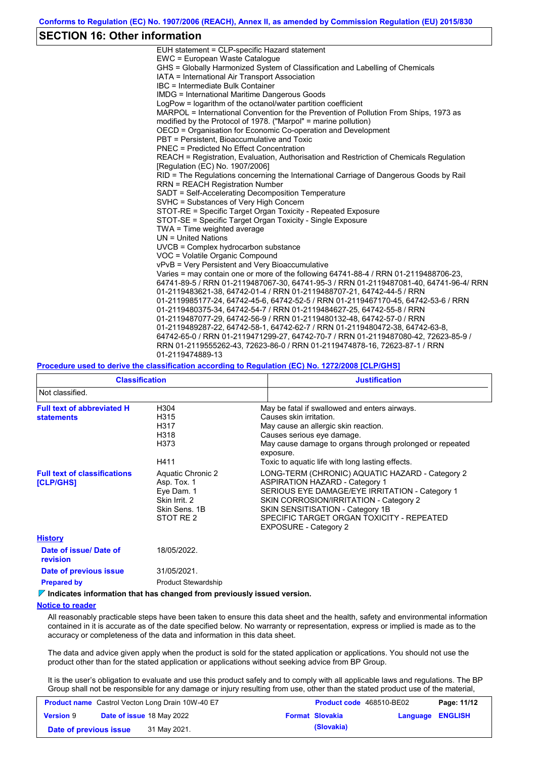### **SECTION 16: Other information**

| EUH statement = CLP-specific Hazard statement                                           |
|-----------------------------------------------------------------------------------------|
| EWC = European Waste Catalogue                                                          |
| GHS = Globally Harmonized System of Classification and Labelling of Chemicals           |
| IATA = International Air Transport Association                                          |
| IBC = Intermediate Bulk Container                                                       |
| <b>IMDG</b> = International Maritime Dangerous Goods                                    |
| LogPow = logarithm of the octanol/water partition coefficient                           |
| MARPOL = International Convention for the Prevention of Pollution From Ships, 1973 as   |
| modified by the Protocol of 1978. ("Marpol" = marine pollution)                         |
| OECD = Organisation for Economic Co-operation and Development                           |
| PBT = Persistent, Bioaccumulative and Toxic                                             |
| PNEC = Predicted No Effect Concentration                                                |
| REACH = Registration, Evaluation, Authorisation and Restriction of Chemicals Regulation |
| [Regulation (EC) No. 1907/2006]                                                         |
| RID = The Regulations concerning the International Carriage of Dangerous Goods by Rail  |
| <b>RRN = REACH Registration Number</b>                                                  |
| SADT = Self-Accelerating Decomposition Temperature                                      |
| SVHC = Substances of Very High Concern                                                  |
| STOT-RE = Specific Target Organ Toxicity - Repeated Exposure                            |
| STOT-SE = Specific Target Organ Toxicity - Single Exposure                              |
| TWA = Time weighted average                                                             |
| $UN = United Nations$                                                                   |
| UVCB = Complex hydrocarbon substance                                                    |
| VOC = Volatile Organic Compound                                                         |
| vPvB = Very Persistent and Very Bioaccumulative                                         |
| Varies = may contain one or more of the following 64741-88-4 / RRN 01-2119488706-23.    |
| 64741-89-5 / RRN 01-2119487067-30, 64741-95-3 / RRN 01-2119487081-40, 64741-96-4/ RRN   |
| 01-2119483621-38, 64742-01-4 / RRN 01-2119488707-21, 64742-44-5 / RRN                   |
| 01-2119985177-24, 64742-45-6, 64742-52-5 / RRN 01-2119467170-45, 64742-53-6 / RRN       |
| 01-2119480375-34, 64742-54-7 / RRN 01-2119484627-25, 64742-55-8 / RRN                   |
| 01-2119487077-29, 64742-56-9 / RRN 01-2119480132-48, 64742-57-0 / RRN                   |
| 01-2119489287-22, 64742-58-1, 64742-62-7 / RRN 01-2119480472-38, 64742-63-8,            |
| 64742-65-0 / RRN 01-2119471299-27, 64742-70-7 / RRN 01-2119487080-42, 72623-85-9 /      |
| RRN 01-2119555262-43, 72623-86-0 / RRN 01-2119474878-16, 72623-87-1 / RRN               |
| 01-2119474889-13                                                                        |

#### **Procedure used to derive the classification according to Regulation (EC) No. 1272/2008 [CLP/GHS]**

| <b>Classification</b>                                  |                                                                                               | <b>Justification</b>                                                                                                                                                                                                                                                                                  |
|--------------------------------------------------------|-----------------------------------------------------------------------------------------------|-------------------------------------------------------------------------------------------------------------------------------------------------------------------------------------------------------------------------------------------------------------------------------------------------------|
| Not classified.                                        |                                                                                               |                                                                                                                                                                                                                                                                                                       |
| <b>Full text of abbreviated H</b><br><b>statements</b> | H304<br>H315<br>H317<br>H318<br>H373<br>H411                                                  | May be fatal if swallowed and enters airways.<br>Causes skin irritation.<br>May cause an allergic skin reaction.<br>Causes serious eye damage.<br>May cause damage to organs through prolonged or repeated<br>exposure.<br>Toxic to aquatic life with long lasting effects.                           |
| <b>Full text of classifications</b><br>[CLP/GHS]       | Aquatic Chronic 2<br>Asp. Tox. 1<br>Eye Dam. 1<br>Skin Irrit, 2<br>Skin Sens, 1B<br>STOT RE 2 | LONG-TERM (CHRONIC) AQUATIC HAZARD - Category 2<br><b>ASPIRATION HAZARD - Category 1</b><br>SERIOUS EYE DAMAGE/EYE IRRITATION - Category 1<br>SKIN CORROSION/IRRITATION - Category 2<br>SKIN SENSITISATION - Category 1B<br>SPECIFIC TARGET ORGAN TOXICITY - REPEATED<br><b>EXPOSURE - Category 2</b> |
| <b>History</b>                                         |                                                                                               |                                                                                                                                                                                                                                                                                                       |
| Date of issue/Date of<br>revision                      | 18/05/2022.                                                                                   |                                                                                                                                                                                                                                                                                                       |
| Date of previous issue                                 | 31/05/2021.                                                                                   |                                                                                                                                                                                                                                                                                                       |

**Prepared by Product Stewardship** 

#### **Indicates information that has changed from previously issued version.**

#### **Notice to reader**

All reasonably practicable steps have been taken to ensure this data sheet and the health, safety and environmental information contained in it is accurate as of the date specified below. No warranty or representation, express or implied is made as to the accuracy or completeness of the data and information in this data sheet.

The data and advice given apply when the product is sold for the stated application or applications. You should not use the product other than for the stated application or applications without seeking advice from BP Group.

It is the user's obligation to evaluate and use this product safely and to comply with all applicable laws and regulations. The BP Group shall not be responsible for any damage or injury resulting from use, other than the stated product use of the material,

| <b>Product name</b> Castrol Vecton Long Drain 10W-40 E7 |  | <b>Product code</b> 468510-BE02  |  | Page: 11/12            |                  |  |
|---------------------------------------------------------|--|----------------------------------|--|------------------------|------------------|--|
| <b>Version 9</b>                                        |  | <b>Date of issue 18 May 2022</b> |  | <b>Format Slovakia</b> | Language ENGLISH |  |
| Date of previous issue                                  |  | 31 May 2021.                     |  | (Slovakia)             |                  |  |